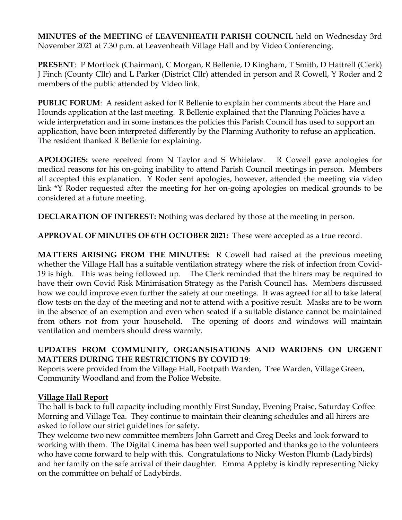**MINUTES of the MEETING** of **LEAVENHEATH PARISH COUNCIL** held on Wednesday 3rd November 2021 at 7.30 p.m. at Leavenheath Village Hall and by Video Conferencing.

**PRESENT**: P Mortlock (Chairman), C Morgan, R Bellenie, D Kingham, T Smith, D Hattrell (Clerk) J Finch (County Cllr) and L Parker (District Cllr) attended in person and R Cowell, Y Roder and 2 members of the public attended by Video link.

**PUBLIC FORUM**: A resident asked for R Bellenie to explain her comments about the Hare and Hounds application at the last meeting. R Bellenie explained that the Planning Policies have a wide interpretation and in some instances the policies this Parish Council has used to support an application, have been interpreted differently by the Planning Authority to refuse an application. The resident thanked R Bellenie for explaining.

**APOLOGIES:** were received from N Taylor and S Whitelaw. R Cowell gave apologies for medical reasons for his on-going inability to attend Parish Council meetings in person. Members all accepted this explanation. Y Roder sent apologies, however, attended the meeting via video link \*Y Roder requested after the meeting for her on-going apologies on medical grounds to be considered at a future meeting.

**DECLARATION OF INTEREST:** Nothing was declared by those at the meeting in person.

**APPROVAL OF MINUTES OF 6TH OCTOBER 2021:** These were accepted as a true record.

**MATTERS ARISING FROM THE MINUTES:** R Cowell had raised at the previous meeting whether the Village Hall has a suitable ventilation strategy where the risk of infection from Covid-19 is high. This was being followed up. The Clerk reminded that the hirers may be required to have their own Covid Risk Minimisation Strategy as the Parish Council has. Members discussed how we could improve even further the safety at our meetings. It was agreed for all to take lateral flow tests on the day of the meeting and not to attend with a positive result. Masks are to be worn in the absence of an exemption and even when seated if a suitable distance cannot be maintained from others not from your household. The opening of doors and windows will maintain ventilation and members should dress warmly.

### **UPDATES FROM COMMUNITY, ORGANSISATIONS AND WARDENS ON URGENT MATTERS DURING THE RESTRICTIONS BY COVID 19**:

Reports were provided from the Village Hall, Footpath Warden, Tree Warden, Village Green, Community Woodland and from the Police Website.

# **Village Hall Report**

The hall is back to full capacity including monthly First Sunday, Evening Praise, Saturday Coffee Morning and Village Tea. They continue to maintain their cleaning schedules and all hirers are asked to follow our strict guidelines for safety.

They welcome two new committee members John Garrett and Greg Deeks and look forward to working with them. The Digital Cinema has been well supported and thanks go to the volunteers who have come forward to help with this. Congratulations to Nicky Weston Plumb (Ladybirds) and her family on the safe arrival of their daughter. Emma Appleby is kindly representing Nicky on the committee on behalf of Ladybirds.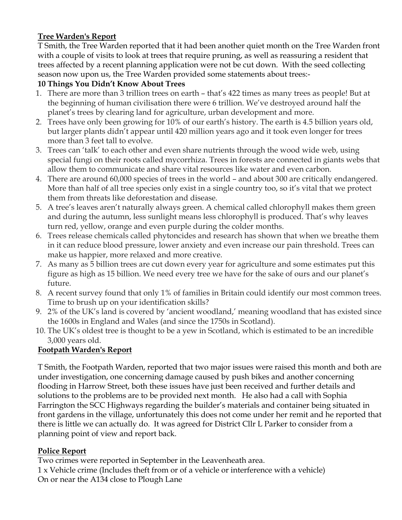# **Tree Warden's Report**

T Smith, the Tree Warden reported that it had been another quiet month on the Tree Warden front with a couple of visits to look at trees that require pruning, as well as reassuring a resident that trees affected by a recent planning application were not be cut down. With the seed collecting season now upon us, the Tree Warden provided some statements about trees:-

## **10 Things You Didn't Know About Trees**

- 1. There are more than 3 trillion trees on earth that's 422 times as many trees as people! But at the beginning of human civilisation there were 6 trillion. We've destroyed around half the planet's trees by clearing land for agriculture, urban development and more.
- 2. Trees have only been growing for 10% of our earth's history. The earth is 4.5 billion years old, but larger plants didn't appear until 420 million years ago and it took even longer for trees more than 3 feet tall to evolve.
- 3. Trees can 'talk' to each other and even share nutrients through the wood wide web, using special fungi on their roots called mycorrhiza. Trees in forests are connected in giants webs that allow them to communicate and share vital resources like water and even carbon.
- 4. There are around 60,000 species of trees in the world and about 300 are critically endangered. More than half of all tree species only exist in a single country too, so it's vital that we protect them from threats like deforestation and disease.
- 5. A tree's leaves aren't naturally always green. A chemical called chlorophyll makes them green and during the autumn, less sunlight means less chlorophyll is produced. That's why leaves turn red, yellow, orange and even purple during the colder months.
- 6. Trees release chemicals called phytoncides and research has shown that when we breathe them in it can reduce blood pressure, lower anxiety and even increase our pain threshold. Trees can make us happier, more relaxed and more creative.
- 7. As many as 5 billion trees are cut down every year for agriculture and some estimates put this figure as high as 15 billion. We need every tree we have for the sake of ours and our planet's future.
- 8. A recent survey found that only 1% of families in Britain could identify our most common trees. Time to brush up on your identification skills?
- 9. 2% of the UK's land is covered by 'ancient woodland,' meaning woodland that has existed since the 1600s in England and Wales (and since the 1750s in Scotland).
- 10. The UK's oldest tree is thought to be a yew in Scotland, which is estimated to be an incredible 3,000 years old.

# **Footpath Warden's Report**

T Smith, the Footpath Warden, reported that two major issues were raised this month and both are under investigation, one concerning damage caused by push bikes and another concerning flooding in Harrow Street, both these issues have just been received and further details and solutions to the problems are to be provided next month. He also had a call with Sophia Farrington the SCC Highways regarding the builder's materials and container being situated in front gardens in the village, unfortunately this does not come under her remit and he reported that there is little we can actually do. It was agreed for District Cllr L Parker to consider from a planning point of view and report back.

# **Police Report**

Two crimes were reported in September in the Leavenheath area.

1 x Vehicle crime (Includes theft from or of a vehicle or interference with a vehicle) On or near the A134 close to Plough Lane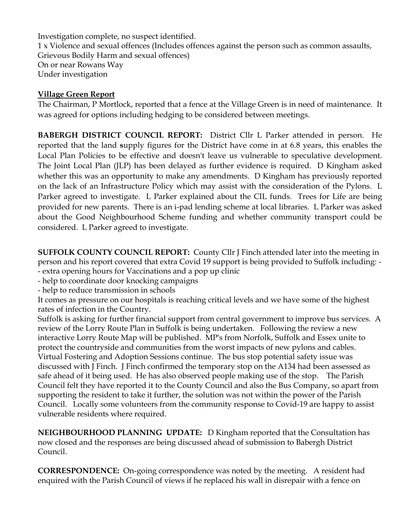Investigation complete, no suspect identified. 1 x Violence and sexual offences (Includes offences against the person such as common assaults, Grievous Bodily Harm and sexual offences) On or near Rowans Way Under investigation

#### **Village Green Report**

The Chairman, P Mortlock, reported that a fence at the Village Green is in need of maintenance. It was agreed for options including hedging to be considered between meetings.

**BABERGH DISTRICT COUNCIL REPORT:** District Cllr L Parker attended in person.He reported that the land **s**upply figures for the District have come in at 6.8 years, this enables the Local Plan Policies to be effective and doesn't leave us vulnerable to speculative development. The Joint Local Plan (JLP) has been delayed as further evidence is required. D Kingham asked whether this was an opportunity to make any amendments. D Kingham has previously reported on the lack of an Infrastructure Policy which may assist with the consideration of the Pylons. L Parker agreed to investigate. L Parker explained about the CIL funds. Trees for Life are being provided for new parents. There is an i-pad lending scheme at local libraries. L Parker was asked about the Good Neighbourhood Scheme funding and whether community transport could be considered. L Parker agreed to investigate.

**SUFFOLK COUNTY COUNCIL REPORT:** County Cllr J Finch attended later into the meeting in person and his report covered that extra Covid 19 support is being provided to Suffolk including: - - extra opening hours for Vaccinations and a pop up clinic

- help to coordinate door knocking campaigns

- help to reduce transmission in schools

It comes as pressure on our hospitals is reaching critical levels and we have some of the highest rates of infection in the Country.

Suffolk is asking for further financial support from central government to improve bus services. A review of the Lorry Route Plan in Suffolk is being undertaken. Following the review a new interactive Lorry Route Map will be published. MP's from Norfolk, Suffolk and Essex unite to protect the countryside and communities from the worst impacts of new pylons and cables. Virtual Fostering and Adoption Sessions continue. The bus stop potential safety issue was discussed with J Finch. J Finch confirmed the temporary stop on the A134 had been assessed as safe ahead of it being used. He has also observed people making use of the stop. The Parish Council felt they have reported it to the County Council and also the Bus Company, so apart from supporting the resident to take it further, the solution was not within the power of the Parish Council. Locally some volunteers from the community response to Covid-19 are happy to assist vulnerable residents where required.

**NEIGHBOURHOOD PLANNING UPDATE:** D Kingham reported that the Consultation has now closed and the responses are being discussed ahead of submission to Babergh District Council.

**CORRESPONDENCE:** On-going correspondence was noted by the meeting. A resident had enquired with the Parish Council of views if he replaced his wall in disrepair with a fence on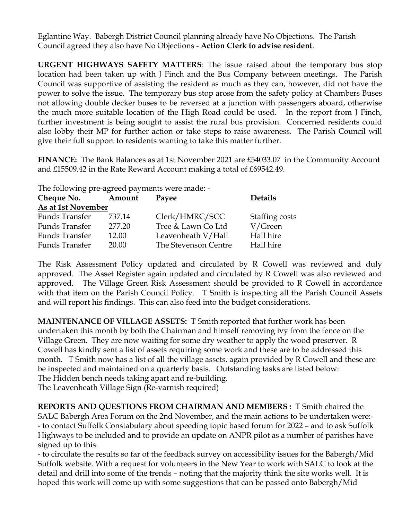Eglantine Way. Babergh District Council planning already have No Objections. The Parish Council agreed they also have No Objections - **Action Clerk to advise resident**.

**URGENT HIGHWAYS SAFETY MATTERS**: The issue raised about the temporary bus stop location had been taken up with J Finch and the Bus Company between meetings. The Parish Council was supportive of assisting the resident as much as they can, however, did not have the power to solve the issue. The temporary bus stop arose from the safety policy at Chambers Buses not allowing double decker buses to be reversed at a junction with passengers aboard, otherwise the much more suitable location of the High Road could be used. In the report from J Finch, further investment is being sought to assist the rural bus provision. Concerned residents could also lobby their MP for further action or take steps to raise awareness. The Parish Council will give their full support to residents wanting to take this matter further.

**FINANCE:** The Bank Balances as at 1st November 2021 are £54033.07 in the Community Account and £15509.42 in the Rate Reward Account making a total of £69542.49.

The following pre-agreed payments were made: -

| Cheque No.            | Amount | Payee                | <b>Details</b> |
|-----------------------|--------|----------------------|----------------|
| As at 1st November    |        |                      |                |
| Funds Transfer        | 737.14 | Clerk/HMRC/SCC       | Staffing costs |
| Funds Transfer        | 277.20 | Tree & Lawn Co Ltd   | V/Green        |
| Funds Transfer        | 12.00  | Leavenheath V/Hall   | Hall hire      |
| <b>Funds Transfer</b> | 20.00  | The Stevenson Centre | Hall hire      |

The Risk Assessment Policy updated and circulated by R Cowell was reviewed and duly approved. The Asset Register again updated and circulated by R Cowell was also reviewed and approved. The Village Green Risk Assessment should be provided to R Cowell in accordance with that item on the Parish Council Policy. T Smith is inspecting all the Parish Council Assets and will report his findings. This can also feed into the budget considerations.

**MAINTENANCE OF VILLAGE ASSETS:** T Smith reported that further work has been undertaken this month by both the Chairman and himself removing ivy from the fence on the Village Green. They are now waiting for some dry weather to apply the wood preserver. R Cowell has kindly sent a list of assets requiring some work and these are to be addressed this month. T Smith now has a list of all the village assets, again provided by R Cowell and these are be inspected and maintained on a quarterly basis. Outstanding tasks are listed below: The Hidden bench needs taking apart and re-building.

The Leavenheath Village Sign (Re-varnish required)

**REPORTS AND QUESTIONS FROM CHAIRMAN AND MEMBERS :** T Smith chaired the SALC Babergh Area Forum on the 2nd November, and the main actions to be undertaken were:- - to contact Suffolk Constabulary about speeding topic based forum for 2022 – and to ask Suffolk Highways to be included and to provide an update on ANPR pilot as a number of parishes have signed up to this.

- to circulate the results so far of the feedback survey on accessibility issues for the Babergh/Mid Suffolk website. With a request for volunteers in the New Year to work with SALC to look at the detail and drill into some of the trends – noting that the majority think the site works well. It is hoped this work will come up with some suggestions that can be passed onto Babergh/Mid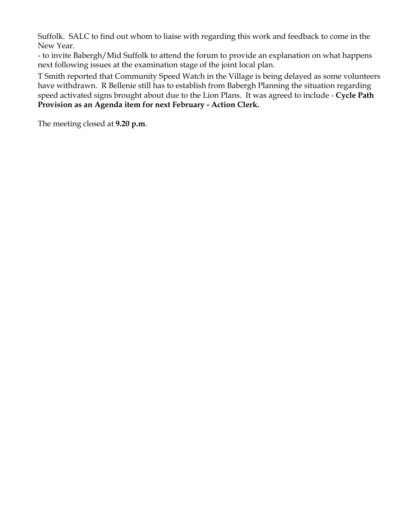Suffolk. SALC to find out whom to liaise with regarding this work and feedback to come in the New Year.

- to invite Babergh/Mid Suffolk to attend the forum to provide an explanation on what happens next following issues at the examination stage of the joint local plan.

T Smith reported that Community Speed Watch in the Village is being delayed as some volunteers have withdrawn. R Bellenie still has to establish from Babergh Planning the situation regarding speed activated signs brought about due to the Lion Plans. It was agreed to include - **Cycle Path Provision as an Agenda item for next February - Action Clerk.** 

The meeting closed at **9.20 p.m**.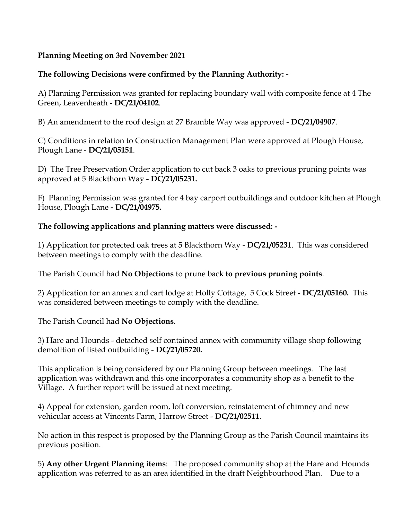### **Planning Meeting on 3rd November 2021**

## **The following Decisions were confirmed by the Planning Authority: -**

A) Planning Permission was granted for replacing boundary wall with composite fence at 4 The Green, Leavenheath - **DC/21/04102**.

B) An amendment to the roof design at 27 Bramble Way was approved - **DC/21/04907**.

C) Conditions in relation to Construction Management Plan were approved at Plough House, Plough Lane - **DC/21/05151**.

D) The Tree Preservation Order application to cut back 3 oaks to previous pruning points was approved at 5 Blackthorn Way **- DC/21/05231.** 

F) Planning Permission was granted for 4 bay carport outbuildings and outdoor kitchen at Plough House, Plough Lane **- DC/21/04975.**

#### **The following applications and planning matters were discussed: -**

1) Application for protected oak trees at 5 Blackthorn Way - **DC/21/05231**. This was considered between meetings to comply with the deadline.

The Parish Council had **No Objections** to prune back **to previous pruning points**.

2) Application for an annex and cart lodge at Holly Cottage, 5 Cock Street - **DC/21/05160.** This was considered between meetings to comply with the deadline.

The Parish Council had **No Objections**.

3) Hare and Hounds - detached self contained annex with community village shop following demolition of listed outbuilding - **DC/21/05720.**

This application is being considered by our Planning Group between meetings. The last application was withdrawn and this one incorporates a community shop as a benefit to the Village. A further report will be issued at next meeting.

4) Appeal for extension, garden room, loft conversion, reinstatement of chimney and new vehicular access at Vincents Farm, Harrow Street - **DC/21/02511**.

No action in this respect is proposed by the Planning Group as the Parish Council maintains its previous position.

5) **Any other Urgent Planning items**: The proposed community shop at the Hare and Hounds application was referred to as an area identified in the draft Neighbourhood Plan. Due to a